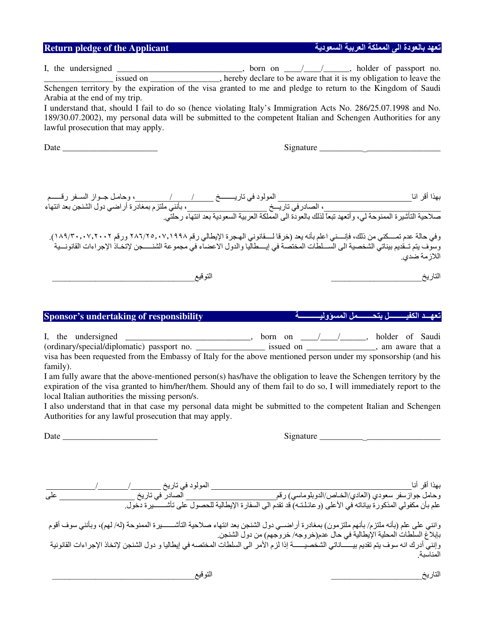| <b>Return pledge of the Applicant</b>                                                                                                                                                                                                                                                                                                                                                                                                                                                                                                              | تعهد بالعودة الى المملكة العربية السعودية                                                                                                                                                                                              |
|----------------------------------------------------------------------------------------------------------------------------------------------------------------------------------------------------------------------------------------------------------------------------------------------------------------------------------------------------------------------------------------------------------------------------------------------------------------------------------------------------------------------------------------------------|----------------------------------------------------------------------------------------------------------------------------------------------------------------------------------------------------------------------------------------|
| I, the undersigned $\frac{1}{\sqrt{1-\frac{1}{n}}}\$ , born on $\frac{1}{\sqrt{1-\frac{1}{n}}}\$ , holder of passport no.<br>Schengen territory by the expiration of the visa granted to me and pledge to return to the Kingdom of Saudi<br>Arabia at the end of my trip.<br>I understand that, should I fail to do so (hence violating Italy's Immigration Acts No. 286/25.07.1998 and No.<br>189/30.07.2002), my personal data will be submitted to the competent Italian and Schengen Authorities for any<br>lawful prosecution that may apply. |                                                                                                                                                                                                                                        |
|                                                                                                                                                                                                                                                                                                                                                                                                                                                                                                                                                    |                                                                                                                                                                                                                                        |
| وفي حالة عدم تمسكني من ذلك، فإنسني اعلم بأنه يعد (خرقا لسقانوني الهجرة الإيطالي رقم ٢٨٦/٢٥,٠٧,١٩٩٨ ورقم ١٨٩/٣٠,٠٠٧,٢٠٠٢).<br>وسوف يتم تــقديم بيناتي الشخصية الى الســـلطات المختصة في إيــــطاليا والدول الاعضـاء في مجموعة الشنـــــجن لإتخـاذ الإجراءات القانونـــية                                                                                                                                                                                                                                                                            | اللازمة ضدى.                                                                                                                                                                                                                           |
| التوقيع                                                                                                                                                                                                                                                                                                                                                                                                                                                                                                                                            | التاريخ                                                                                                                                                                                                                                |
| <b>Sponsor's undertaking of responsibility</b>                                                                                                                                                                                                                                                                                                                                                                                                                                                                                                     | د الكف                                                                                                                                                                                                                                 |
| I, the undersigned ________________________, born on ____________, holder of Saudi<br>(ordinary/special/diplomatic) passport no. _________________ issued on _____________, am aware that a<br>visa has been requested from the Embassy of Italy for the above mentioned person under my sponsorship (and his<br>family).<br>$\mathbf{r} = \mathbf{r} \cdot \mathbf{r}$                                                                                                                                                                            | $\mathcal{A}$ and $\mathcal{A}$ are the set of the set of the set of the set of the set of the set of the set of the set of the set of the set of the set of the set of the set of the set of the set of the set of the set of the set |

I am fully aware that the above-mentioned person(s) has/have the obligation to leave the Schengen territory by the expiration of the visa granted to him/her/them. Should any of them fail to do so, I will immediately report to the local Italian authorities the missing person/s.

I also understand that in that case my personal data might be submitted to the competent Italian and Schengen Authorities for any lawful prosecution that may apply.

Date \_\_\_\_\_\_\_\_\_\_\_\_\_\_\_\_\_\_\_\_\_\_ Signature \_\_\_\_\_\_\_\_\_\_-

**--**-**---**-**-----**-**-------------------**

| Signature |
|-----------|
|-----------|

**-------------------**التاريخ

|     | المولود في تاريخ __ | بهذا أقر أنا                                                                                                                                                                                                                        |
|-----|---------------------|-------------------------------------------------------------------------------------------------------------------------------------------------------------------------------------------------------------------------------------|
| على |                     |                                                                                                                                                                                                                                     |
|     |                     | ـ وحامل جوازسفر سعودي (العادي/الخـاص/الدوبلوماسي) رقم<br>علم بأن مكفولي المذكورة بياناته في الأعلى (وعائـلـتـه) قد تقدم الى السفارة الإيطالية للحصول على تأشــــــــيرة<br>علم بأن مكفولي المذكورة بياناته في الأعلى (وعائـلـتـه) ق |
|     |                     |                                                                                                                                                                                                                                     |
|     |                     | وانني على علم (بأنه ملتزم/ بأنهم ملتزمون) بمغادرة أراضــي دول الشنجن بعد انتهاء صلاحية التأشــــــيرة الممنوحة (له/ لهم)، وبأنني سوف أقوم<br>بإبلاغ السلطات المحلية الإيطالية في حال عدم(خروجه/ خروجهم) من دول الشنجن<br>وإنني أدرك |
|     |                     |                                                                                                                                                                                                                                     |
|     |                     | المناسبة                                                                                                                                                                                                                            |
|     |                     |                                                                                                                                                                                                                                     |

التوقيع التوقيع